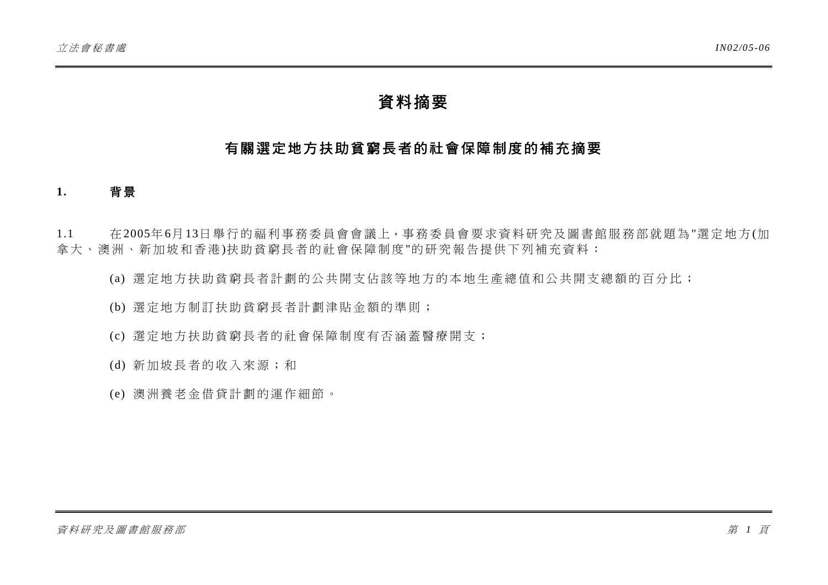# 資料摘要

# 有關選定地方扶助貧窮長者的社會保障制度的補充摘要

### **1.** 背 景

1.1 在 2005年6月 13日舉行的福利事務委員會會議上,事務委 員會要求資料研究及圖書館服務部就題為"選定地方 (加 拿大、澳洲、新加坡和香港)扶助貧窮長者的社會保障制度"的研究報告提供下列補充資料:

- (a) 選定地方扶助貧窮長者計劃的公共開支佔該等地 方的本地生產總值和公共開支總額的百分比;
- (b) 選定地方制訂扶助貧窮長者計 劃津貼金額的準則;
- (c) 選定地方扶助貧窮長者的社會 保障制度有否涵蓋醫療開支;
- (d) 新加坡長者的收入來源;和
- (e) 澳洲養老金借貸計劃的運作細節。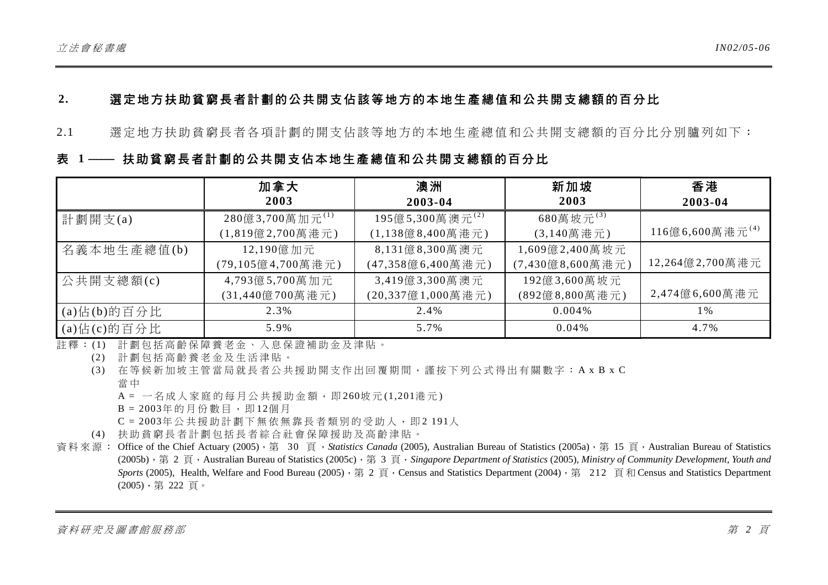# **2.** 選定地方扶助貧窮長者計劃的公共開支佔該等 地方的本地生產總值和公共開支總額的百分比

2.1 選定地方扶助貧窮長者各項計劃的開支 佔該等地方的本地生產總值和公共開 支總額的百分比分別臚列如下:

# 表 1 —— 扶助貧窮長者計劃的公共開支佔本地生產總值和公共開支總額的百分比

|                    | 加拿大                            | 澳洲                      | 新加坡               | 香港                          |
|--------------------|--------------------------------|-------------------------|-------------------|-----------------------------|
|                    | 2003                           | 2003-04                 | 2003              | 2003-04                     |
| 計劃開支 $(a)$         | $280$ 億3,700萬加元 <sup>(1)</sup> | 195億5,300萬澳元(2)         | $680$ 萬坡元 $(3)$   |                             |
|                    | (1,819億2,700萬港元)               | $(1,138$ 億 8,400 萬 港 元) | $(3,140$ 萬 港 元)   | 116億6,600萬港元 <sup>(4)</sup> |
| 名義本地生產總值(b)        | 12,190億加元                      | 8,131億8,300萬澳元          | $1,609$ 億2,400萬坡元 |                             |
|                    | (79,105億4,700萬港元)              | (47,358億6,400萬港元)       | (7,430億8,600萬港元)  | 12,264億2,700萬港元             |
| 公共開支總額(c)          | 4,793億5,700萬加元                 | 3,419億3,300萬澳元          | 192億3,600萬坡元      |                             |
|                    | (31,440億700萬港元)                | (20,337億1,000萬港元)       | (892億8,800萬港元)    | 2,474億6,600萬港元              |
| $(a)$ 佔 $(b)$ 的百分比 | 2.3%                           | 2.4%                    | $0.004\%$         | 1%                          |
| $(a)$ 佔 $(c)$ 的百分比 | 5.9%                           | 5.7%                    | $0.04\%$          | 4.7%                        |

註釋: (1) 計劃包括高齡保障養老金、入息保證補助金及津貼。

(2) 計劃包括高齡養老金及生活津貼。

(3) 在等候新加坡主管當局就長者公共援助開支作出回覆期間,謹按下列公式得出有關數字: A x B x C 當 中

 $A = -4$ 成人家庭的每月公共援助金額,即260坡元 $(1,201)$ 港元

 $B = 2003$ 年的月份數目,即12個月

 $C = 2003$ 年公共援助計劃下無依無靠長者類別的受助人,即2 191人

(4) 扶助貧窮長者計劃包括長者綜合社會保障援助及高齡津貼。

資料來源: Office of the Chief Actuary (2005), 第 30 頁, Statistics Canada (2005), Australian Bureau of Statistics (2005a), 第 15 頁, Australian Bureau of Statistics (2005b),第 2 頁,Australian Bureau of Statistics (2005c),第 3 頁,*Singapore Department of Statistics* (2005), *Ministry of Community Development, Youth and Sports* (2005), Health, Welfare and Food Bureau (2005), 第 2 頁, Census and Statistics Department (2004), 第 212 頁和 Census and Statistics Department (2005),第 222 頁。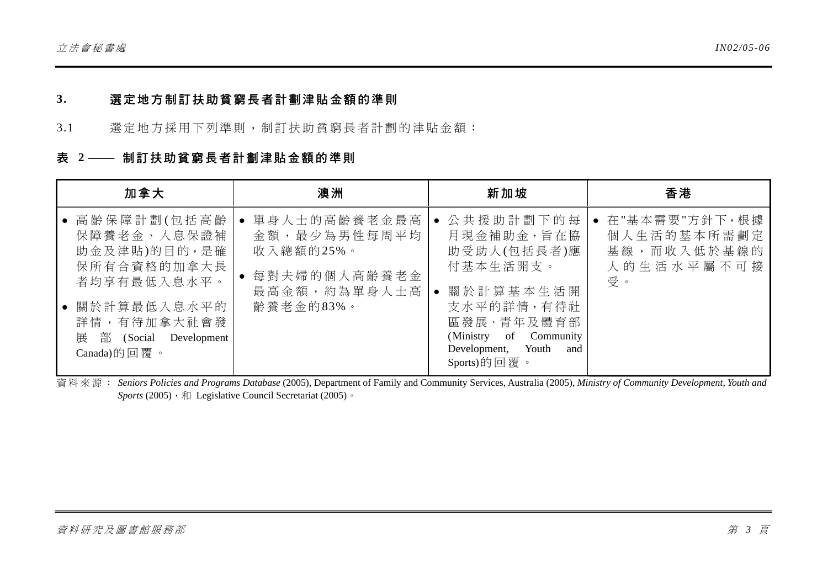### **3.** 選定地方制訂扶助貧窮長者計劃津貼金額的準則

3.1 選定地方採用下列準則, 制訂扶助貧窮長者計劃的津貼金額:

### 表 2 <sup>--</sup> 制訂扶助貧窮長者計劃津貼金額的準則

| 加拿大                                                                                                                                              | 澳洲                                                                                      | 新加坡                                                                                                                                                               | 香港                                                                |
|--------------------------------------------------------------------------------------------------------------------------------------------------|-----------------------------------------------------------------------------------------|-------------------------------------------------------------------------------------------------------------------------------------------------------------------|-------------------------------------------------------------------|
| 高齡保障計劃(包括高齡<br>保障養老金、入息保證補<br>助金及津貼)的目的,是確<br>保所有合資格的加拿大長<br>者均享有最低入息水平。<br>關於計算最低入息水平的<br>詳情,有待加拿大社會發<br>展 部 (Social Development<br>Canada)的回覆。 | 單身人士的高齡養老金最高<br>金額,最少為男性每周平均<br>收入總額的25%。<br>每對夫婦的個人高齡養老金<br>最高金額,約為單身人士高 <br>齡養老金的83%。 | 公共援助計劃下的每<br>月現金補助金,旨在協<br>助受助人(包括長者)應<br>付基本生活開支。<br>關於計算基本生活開<br>支水平的詳情,有待社<br>區發展、青年及體育部<br>(Ministry of Community<br>Development, Youth<br>and<br>Sports)的回覆。 | • 在"基本需要"方針下,根據<br>個人生活的基本所需劃定<br>基線,而收入低於基線的<br>人的生活水平屬不可接<br>受。 |

資料來源: *Seniors Policies and Programs Database* (2005), Department of Family and Community Services, Australia (2005), *Ministry of Community Development, Youth and Sports* (2005), 和 Legislative Council Secretariat (2005)。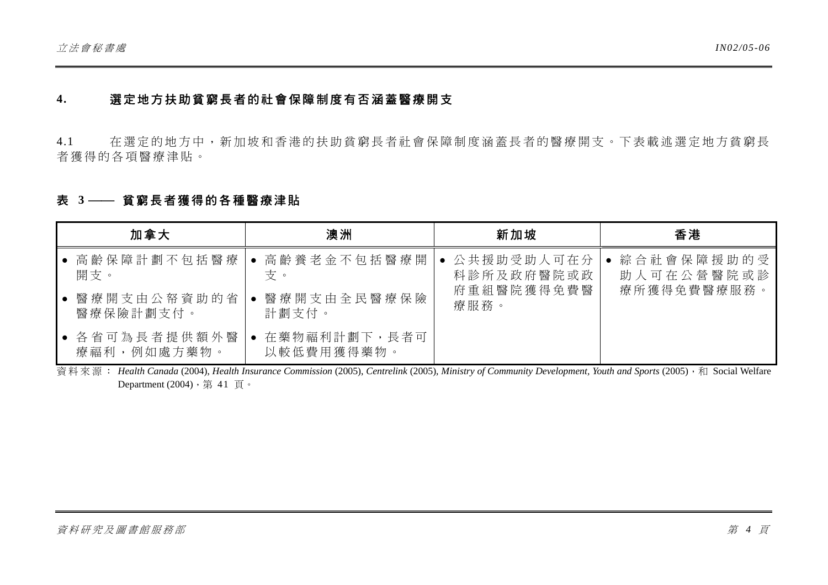### **4.** 選定地方扶助貧窮長者的社會保障制度有否涵蓋醫療開支

4.1 在選定的地方中,新加坡和香港的扶助貧窮長者社會保障制度涵蓋長者的醫療開支。下表載述選定地方貧窮長 者 獲得的各項醫療津貼。

### 表 3 —— 貧窮長者獲得的各種醫療津貼

| 加拿大                          | 澳洲                         | 新加坡          | 香港          |
|------------------------------|----------------------------|--------------|-------------|
| ● 高齡保障計劃不包括醫療                | 高齡養老金不包括醫療開                | • 公共援助受助人可在分 | 綜合社會保障援助的受  |
| 開支。                          | 支。                         | 科診所及政府醫院或政   | 助人可在公營醫院或診  |
| ● 醫療開支由公帑資助的省                | 醫療開支由全民醫療保險                | 府重組醫院獲得免費醫   | 療所獲得免費醫療服務。 |
| 醫療保險計劃支付。                    | 計劃支付。                      | 療服務。         |             |
| ● 各省可為長者提供額外醫<br>療福利,例如處方藥物。 | 在藥物福利計劃下,長者可<br>以較低費用獲得藥物。 |              |             |

資料來源: *Health Canada* (2004), *Health Insurance Commission* (2005), *Centrelink* (2005), *Ministry of Community Development, Youth and Sports* (2005),和 Social Welfare Department  $(2004)$ , 第 41頁。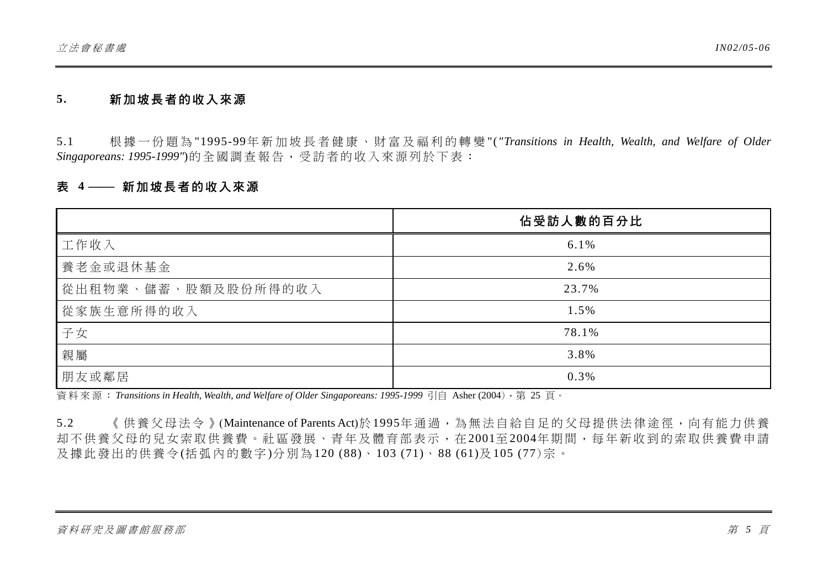#### **5.** 新加坡長者的收入來源

5.1 根據一份題為 "1995-99年新加坡長者 健 康 、 財 富 及福利的 轉 變 "(*"Transitions in Health, Wealth, and Welfare of Older Singaporeans: 1995-1999"*)的全國調查報告,受訪者的收入來源列於下表:

### 表 4 —— 新加坡長者的收入來源

|                     | 佔受訪人數的百分比 |
|---------------------|-----------|
| 工作收入                | 6.1%      |
| 養老金或退休基金            | 2.6%      |
| 從出租物業、儲蓄、股額及股份所得的收入 | 23.7%     |
| 從家族生意所得的收入          | 1.5%      |
| 子女                  | 78.1%     |
| 親屬                  | 3.8%      |
| 朋友或鄰居               | 0.3%      |

資料來源: *Transitions in Health, Wealth, and Welfare of Older Singaporeans: 1995-1999* 引自 Asher (2004),第 25 頁。

5.2 《供養父母法今》(Maintenance of Parents Act)於1995年通過,為無法自給自足的父母提供法律途徑,向有能力供養 却不供養父母的兒女索取供養費。社區發展、青年及體育部表示,在2001至2004年期間,每年新收到的索取供養費申請 及 據此發出的供養令 (括弧 內的數字)分別為120 (88)、 103 (71)、 88 (61)及 105 (77)宗。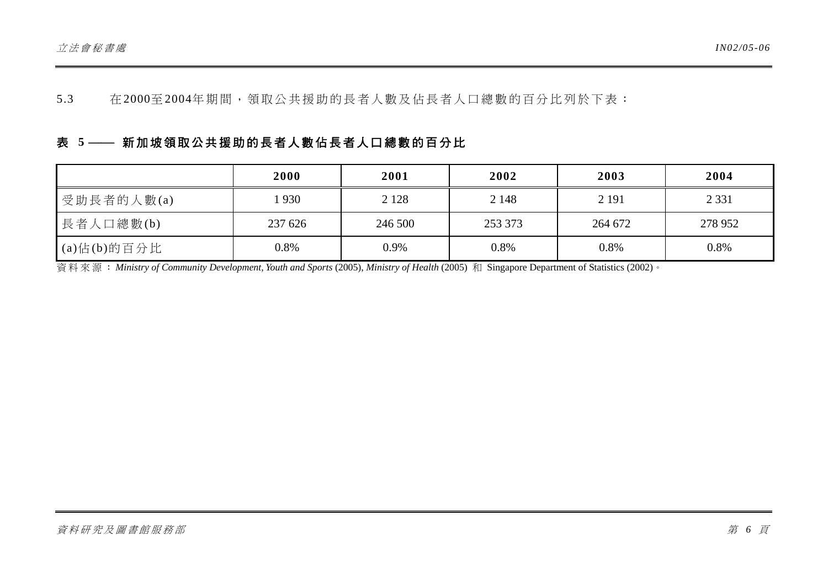5.3 在 2000至2004年期間,領取公共援助的長者人數及佔長者人口總數的百分比列於下表:

# 表 5 <sup>--</sup> 新加坡領取公共援助的長者人數佔長者人口總數的百分比

|                    | 2000    | 2001    | 2002    | 2003    | 2004    |
|--------------------|---------|---------|---------|---------|---------|
| 受助長者的人數(a)         | 930     | 2 1 2 8 | 2 1 4 8 | 2 1 9 1 | 2 3 3 1 |
| 長者人口總數(b)          | 237 626 | 246 500 | 253 373 | 264 672 | 278 952 |
| $(a)$ 佔 $(b)$ 的百分比 | $0.8\%$ | 0.9%    | 0.8%    | 0.8%    | 0.8%    |

資料來源: *Ministry of Community Development, Youth and Sports* (2005), *Ministry of Health* (2005) 和 Singapore Department of Statistics (2002)。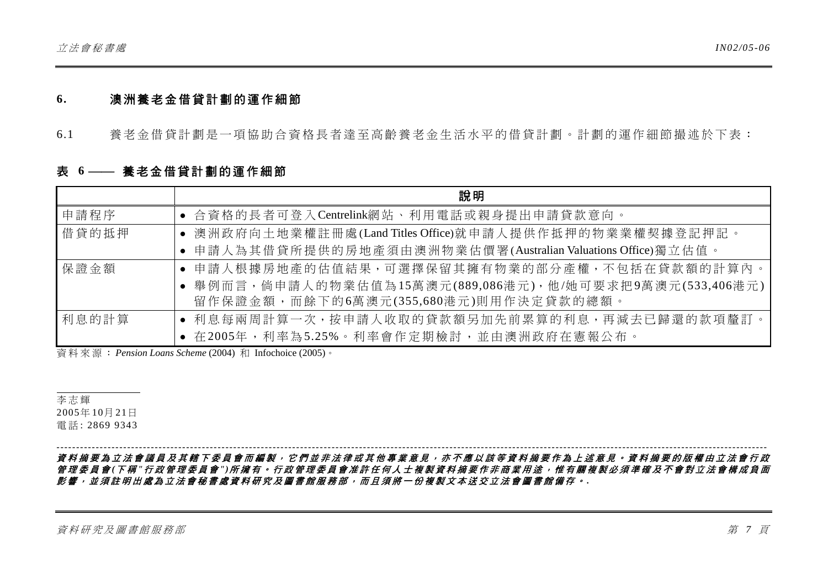#### **6.** 澳洲養老金借貸計劃的運作細節

6.1 養老金借貸計劃是一項協助合資格長者達至高齡養老金生活水平的借貸計劃。計劃的運作細節撮述於下表:

### 表 6 -- 養老金借貸計劃的運作細節

|       | 說明                                                           |
|-------|--------------------------------------------------------------|
| 申請程序  | • 合資格的長者可登入Centrelink網站、利用電話或親身提出申請貸款意向。                     |
| 借貸的抵押 | ● 澳洲政府向土地業權註冊處(Land Titles Office)就申請人提供作抵押的物業業權契據登記押記。      |
|       | • 申請人為其借貸所提供的房地產須由澳洲物業估價署(Australian Valuations Office)獨立估值。 |
| 保證金額  | • 申請人根據房地產的估值結果,可選擇保留其擁有物業的部分產權,不包括在貸款額的計算內。                 |
|       | ● 舉例而言,倘申請人的物業估值為15萬澳元(889,086港元),他/她可要求把9萬澳元(533,406港元)     |
|       | 留作保證金額,而餘下的6萬澳元(355,680港元)則用作決定貸款的總額。                        |
| 利息的計算 | • 利息每兩周計算一次,按申請人收取的貸款額另加先前累算的利息,再減去已歸還的款項釐訂。                 |
|       | • 在2005年,利率為5.25%。利率會作定期檢討,並由澳洲政府在憲報公布。                      |

資料來源: *Pension Loans Scheme* (2004) 和 Infochoice (2005)。

李志輝 2005年 10月 21日 電 話 : 2869 9343

資料摘要為立法會議員及其轄下委員會而編製,它們並非法律或其他專業意見,亦不應以該等資料摘要作為上述意見。資料摘要的版權由立法會行政 管理委員會 *(*下 稱 *"*行政管理委員會 *")*所擁有。行政管理委員會准許任何人士複製資料摘要作非商業用途,惟有關複製必須準確及不會對立法會構成負面 影響,並須註明出處為立法會秘書處資料研究及圖書館服務部,而且須將一份複製文本送交立法會圖書館備存。 *.*

*-------------------------------------------------------------------------------------------------------------------------------------------------------------------------------------*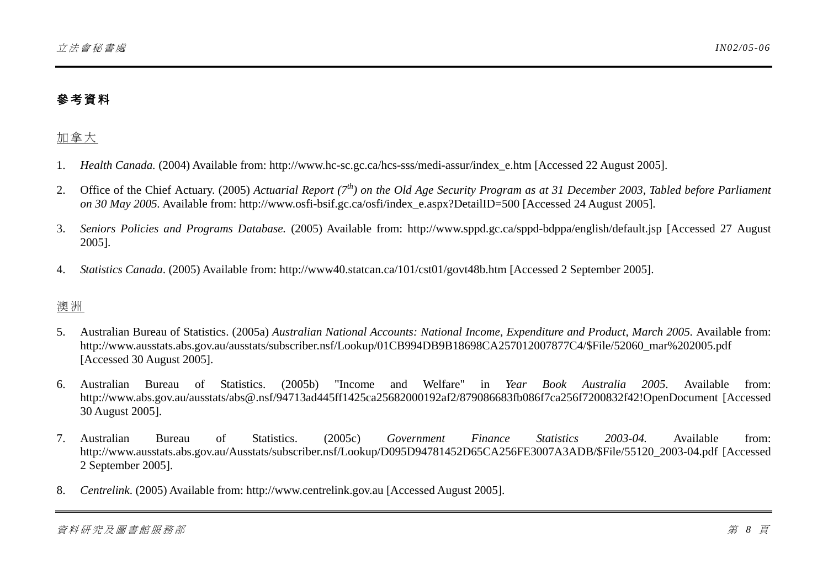# 參考資料

# 加拿大

- 1.*Health Canada.* (2004) Available from: http://www.hc-sc.gc.ca/hcs-sss/medi-assur/index\_e.htm [Accessed 22 August 2005].
- 2. Office of the Chief Actuary. (2005) *Actuarial Report (7th) on the Old Age Security Program as at 31 December 2003, Tabled before Parliament on 30 May 2005.* Available from: http://www.osfi-bsif.gc.ca/osfi/index\_e.aspx?DetailID=500 [Accessed 24 August 2005].
- 3. *Seniors Policies and Programs Database.* (2005) Available from: http://www.sppd.gc.ca/sppd-bdppa/english/default.jsp [Accessed 27 August 2005].
- 4.*Statistics Canada*. (2005) Available from: http://www40.statcan.ca/101/cst01/govt48b.htm [Accessed 2 September 2005].

### 澳 洲

- 5. Australian Bureau of Statistics. (2005a) *Australian National Accounts: National Income, Expenditure and Product, March 2005.* Available from: http://www.ausstats.abs.gov.au/ausstats/subscriber.nsf/Lookup/01CB994DB9B18698CA257012007877C4/\$File/52060\_mar%202005.pdf [Accessed 30 August 2005].
- 6. Australian Bureau of Statistics. (2005b) "Income and Welfare" in *Year Book Australia 2005*. Available from: http://www.abs.gov.au/ausstats/abs@.nsf/94713ad445ff1425ca25682000192af2/879086683fb086f7ca256f7200832f42!OpenDocument [Accessed 30 August 2005].
- 7. Australian Bureau of Statistics. (2005c) *Government Finance Statistics 2003-04.* Available from: http://www.ausstats.abs.gov.au/Ausstats/subscriber.nsf/Lookup/D095D94781452D65CA256FE3007A3ADB/\$File/55120\_2003-04.pdf [Accessed 2 September 2005].
- 8.*Centrelink*. (2005) Available from: http://www.centrelink.gov.au [Accessed August 2005].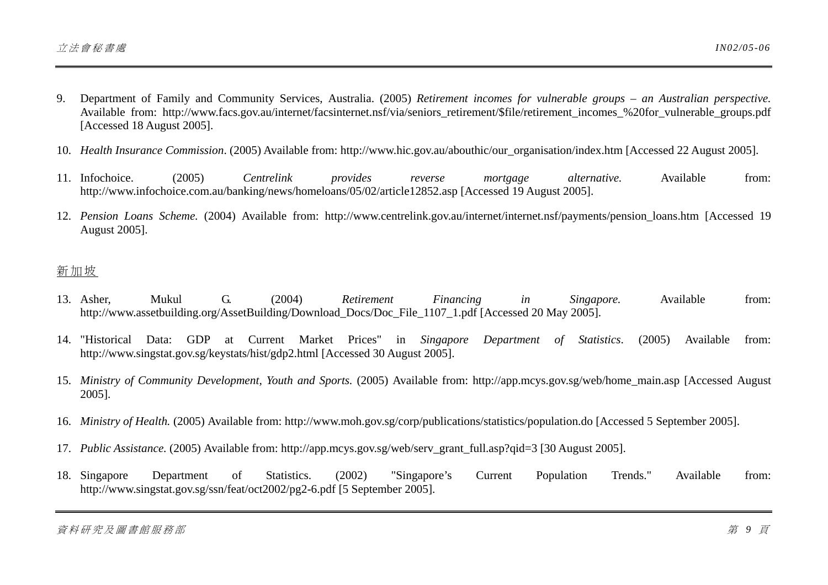- 9. Department of Family and Community Services, Australia. (2005) *Retirement incomes for vulnerable groups an Australian perspective.* Available from: http://www.facs.gov.au/internet/facsinternet.nsf/via/seniors\_retirement/\$file/retirement\_incomes\_%20for\_vulnerable\_groups.pdf [Accessed 18 August 2005].
- 10. *Health Insurance Commission*. (2005) Available from: http://www.hic.gov.au/abouthic/our\_organisation/index.htm [Accessed 22 August 2005].
- 11. Infochoice. Infochoice. (2005) *Centrelink provides reverse mortgage alternative.* Available from: http://www.infochoice.com.au/banking/news/homeloans/05/02/article12852.asp [Accessed 19 August 2005].
- 12. *Pension Loans Scheme.* (2004) Available from: http://www.centrelink.gov.au/internet/internet.nsf/payments/pension\_loans.htm [Accessed 19 August 2005].

### 新加坡

- 13. Asher. Asher, Mukul G. (2004) *Retirement Financing in Singapore.* Available from: http://www.assetbuilding.org/AssetBuilding/Download\_Docs/Doc\_File\_1107\_1.pdf [Accessed 20 May 2005].
- 14. "Historical Data: GDP at Current Market Prices" in *Singapore Department of Statistics*. (2005) Available from: http://www.singstat.gov.sg/keystats/hist/gdp2.html [Accessed 30 August 2005].
- 15. *Ministry of Community Development, Youth and Sports.* (2005) Available from: http://app.mcys.gov.sg/web/home\_main.asp [Accessed August 2005].
- 16. *Ministry of Health.* (2005) Available from: http://www.moh.gov.sg/corp/publications/statistics/population.do [Accessed 5 September 2005].
- 17. *Public Assistance.* (2005) Available from: http://app.mcys.gov.sg/web/serv\_grant\_full.asp?qid=3 [30 August 2005].
- 18. Singapore Singapore Department of Statistics. (2002) "Singapore's Current Population Trends." Available from: http://www.singstat.gov.sg/ssn/feat/oct2002/pg2-6.pdf [5 September 2005].